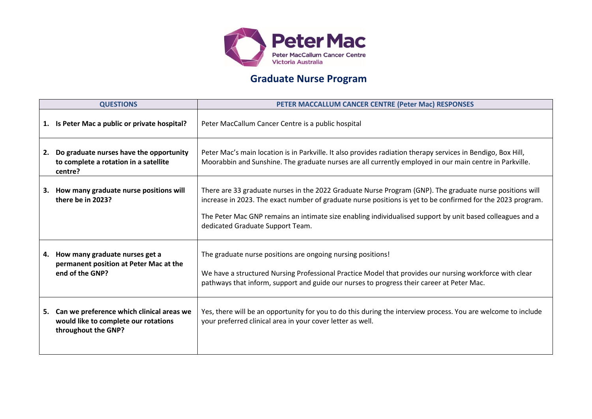

## **Graduate Nurse Program**

| <b>QUESTIONS</b> |                                                                                                             | PETER MACCALLUM CANCER CENTRE (Peter Mac) RESPONSES                                                                                                                                                                                                                                                                                                                      |
|------------------|-------------------------------------------------------------------------------------------------------------|--------------------------------------------------------------------------------------------------------------------------------------------------------------------------------------------------------------------------------------------------------------------------------------------------------------------------------------------------------------------------|
|                  | 1. Is Peter Mac a public or private hospital?                                                               | Peter MacCallum Cancer Centre is a public hospital                                                                                                                                                                                                                                                                                                                       |
|                  | 2. Do graduate nurses have the opportunity<br>to complete a rotation in a satellite<br>centre?              | Peter Mac's main location is in Parkville. It also provides radiation therapy services in Bendigo, Box Hill,<br>Moorabbin and Sunshine. The graduate nurses are all currently employed in our main centre in Parkville.                                                                                                                                                  |
|                  | 3. How many graduate nurse positions will<br>there be in 2023?                                              | There are 33 graduate nurses in the 2022 Graduate Nurse Program (GNP). The graduate nurse positions will<br>increase in 2023. The exact number of graduate nurse positions is yet to be confirmed for the 2023 program.<br>The Peter Mac GNP remains an intimate size enabling individualised support by unit based colleagues and a<br>dedicated Graduate Support Team. |
|                  | 4. How many graduate nurses get a<br>permanent position at Peter Mac at the<br>end of the GNP?              | The graduate nurse positions are ongoing nursing positions!<br>We have a structured Nursing Professional Practice Model that provides our nursing workforce with clear<br>pathways that inform, support and guide our nurses to progress their career at Peter Mac.                                                                                                      |
|                  | 5. Can we preference which clinical areas we<br>would like to complete our rotations<br>throughout the GNP? | Yes, there will be an opportunity for you to do this during the interview process. You are welcome to include<br>your preferred clinical area in your cover letter as well.                                                                                                                                                                                              |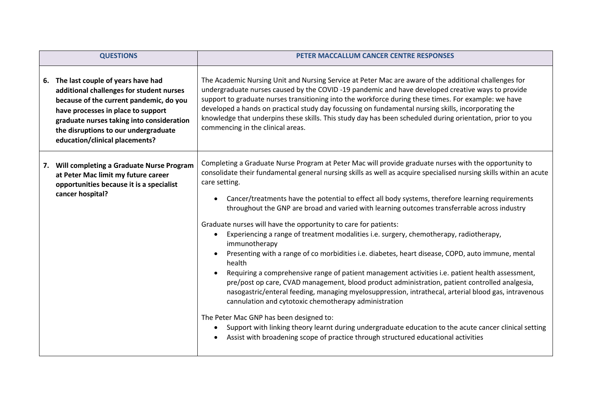| <b>QUESTIONS</b>                                                                                                                                                                                                                                                                         | PETER MACCALLUM CANCER CENTRE RESPONSES                                                                                                                                                                                                                                                                                                                                                                                                                                                                                                                                                                                                                                                                                                                                                                                                                                                                                                                                                                                                                                                                                                                                                                                                                                                                                                                                                                                          |
|------------------------------------------------------------------------------------------------------------------------------------------------------------------------------------------------------------------------------------------------------------------------------------------|----------------------------------------------------------------------------------------------------------------------------------------------------------------------------------------------------------------------------------------------------------------------------------------------------------------------------------------------------------------------------------------------------------------------------------------------------------------------------------------------------------------------------------------------------------------------------------------------------------------------------------------------------------------------------------------------------------------------------------------------------------------------------------------------------------------------------------------------------------------------------------------------------------------------------------------------------------------------------------------------------------------------------------------------------------------------------------------------------------------------------------------------------------------------------------------------------------------------------------------------------------------------------------------------------------------------------------------------------------------------------------------------------------------------------------|
| 6. The last couple of years have had<br>additional challenges for student nurses<br>because of the current pandemic, do you<br>have processes in place to support<br>graduate nurses taking into consideration<br>the disruptions to our undergraduate<br>education/clinical placements? | The Academic Nursing Unit and Nursing Service at Peter Mac are aware of the additional challenges for<br>undergraduate nurses caused by the COVID-19 pandemic and have developed creative ways to provide<br>support to graduate nurses transitioning into the workforce during these times. For example: we have<br>developed a hands on practical study day focussing on fundamental nursing skills, incorporating the<br>knowledge that underpins these skills. This study day has been scheduled during orientation, prior to you<br>commencing in the clinical areas.                                                                                                                                                                                                                                                                                                                                                                                                                                                                                                                                                                                                                                                                                                                                                                                                                                                       |
| Will completing a Graduate Nurse Program<br>7.<br>at Peter Mac limit my future career<br>opportunities because it is a specialist<br>cancer hospital?                                                                                                                                    | Completing a Graduate Nurse Program at Peter Mac will provide graduate nurses with the opportunity to<br>consolidate their fundamental general nursing skills as well as acquire specialised nursing skills within an acute<br>care setting.<br>Cancer/treatments have the potential to effect all body systems, therefore learning requirements<br>$\bullet$<br>throughout the GNP are broad and varied with learning outcomes transferrable across industry<br>Graduate nurses will have the opportunity to care for patients:<br>Experiencing a range of treatment modalities i.e. surgery, chemotherapy, radiotherapy,<br>$\bullet$<br>immunotherapy<br>Presenting with a range of co morbidities i.e. diabetes, heart disease, COPD, auto immune, mental<br>$\bullet$<br>health<br>Requiring a comprehensive range of patient management activities i.e. patient health assessment,<br>$\bullet$<br>pre/post op care, CVAD management, blood product administration, patient controlled analgesia,<br>nasogastric/enteral feeding, managing myelosuppression, intrathecal, arterial blood gas, intravenous<br>cannulation and cytotoxic chemotherapy administration<br>The Peter Mac GNP has been designed to:<br>Support with linking theory learnt during undergraduate education to the acute cancer clinical setting<br>$\bullet$<br>Assist with broadening scope of practice through structured educational activities |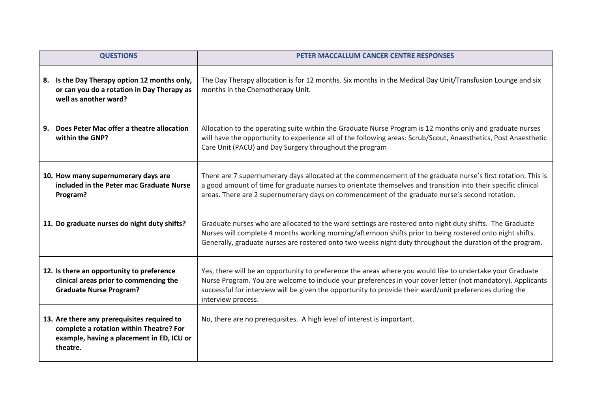| <b>QUESTIONS</b>                                                                                                                                | PETER MACCALLUM CANCER CENTRE RESPONSES                                                                                                                                                                                                                                                                                                                    |
|-------------------------------------------------------------------------------------------------------------------------------------------------|------------------------------------------------------------------------------------------------------------------------------------------------------------------------------------------------------------------------------------------------------------------------------------------------------------------------------------------------------------|
| 8. Is the Day Therapy option 12 months only,<br>or can you do a rotation in Day Therapy as<br>well as another ward?                             | The Day Therapy allocation is for 12 months. Six months in the Medical Day Unit/Transfusion Lounge and six<br>months in the Chemotherapy Unit.                                                                                                                                                                                                             |
| 9. Does Peter Mac offer a theatre allocation<br>within the GNP?                                                                                 | Allocation to the operating suite within the Graduate Nurse Program is 12 months only and graduate nurses<br>will have the opportunity to experience all of the following areas: Scrub/Scout, Anaesthetics, Post Anaesthetic<br>Care Unit (PACU) and Day Surgery throughout the program                                                                    |
| 10. How many supernumerary days are<br>included in the Peter mac Graduate Nurse<br>Program?                                                     | There are 7 supernumerary days allocated at the commencement of the graduate nurse's first rotation. This is<br>a good amount of time for graduate nurses to orientate themselves and transition into their specific clinical<br>areas. There are 2 supernumerary days on commencement of the graduate nurse's second rotation.                            |
| 11. Do graduate nurses do night duty shifts?                                                                                                    | Graduate nurses who are allocated to the ward settings are rostered onto night duty shifts. The Graduate<br>Nurses will complete 4 months working morning/afternoon shifts prior to being rostered onto night shifts.<br>Generally, graduate nurses are rostered onto two weeks night duty throughout the duration of the program.                         |
| 12. Is there an opportunity to preference<br>clinical areas prior to commencing the<br><b>Graduate Nurse Program?</b>                           | Yes, there will be an opportunity to preference the areas where you would like to undertake your Graduate<br>Nurse Program. You are welcome to include your preferences in your cover letter (not mandatory). Applicants<br>successful for interview will be given the opportunity to provide their ward/unit preferences during the<br>interview process. |
| 13. Are there any prerequisites required to<br>complete a rotation within Theatre? For<br>example, having a placement in ED, ICU or<br>theatre. | No, there are no prerequisites. A high level of interest is important.                                                                                                                                                                                                                                                                                     |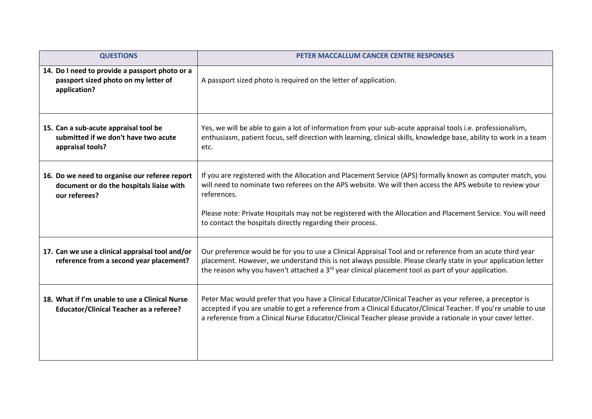| <b>QUESTIONS</b>                                                                                           | PETER MACCALLUM CANCER CENTRE RESPONSES                                                                                                                                                                                                                                                                                                                                                                                |
|------------------------------------------------------------------------------------------------------------|------------------------------------------------------------------------------------------------------------------------------------------------------------------------------------------------------------------------------------------------------------------------------------------------------------------------------------------------------------------------------------------------------------------------|
| 14. Do I need to provide a passport photo or a<br>passport sized photo on my letter of<br>application?     | A passport sized photo is required on the letter of application.                                                                                                                                                                                                                                                                                                                                                       |
| 15. Can a sub-acute appraisal tool be<br>submitted if we don't have two acute<br>appraisal tools?          | Yes, we will be able to gain a lot of information from your sub-acute appraisal tools i.e. professionalism,<br>enthusiasm, patient focus, self direction with learning, clinical skills, knowledge base, ability to work in a team<br>etc.                                                                                                                                                                             |
| 16. Do we need to organise our referee report<br>document or do the hospitals liaise with<br>our referees? | If you are registered with the Allocation and Placement Service (APS) formally known as computer match, you<br>will need to nominate two referees on the APS website. We will then access the APS website to review your<br>references.<br>Please note: Private Hospitals may not be registered with the Allocation and Placement Service. You will need<br>to contact the hospitals directly regarding their process. |
| 17. Can we use a clinical appraisal tool and/or<br>reference from a second year placement?                 | Our preference would be for you to use a Clinical Appraisal Tool and or reference from an acute third year<br>placement. However, we understand this is not always possible. Please clearly state in your application letter<br>the reason why you haven't attached a $3rd$ year clinical placement tool as part of your application.                                                                                  |
| 18. What if I'm unable to use a Clinical Nurse<br><b>Educator/Clinical Teacher as a referee?</b>           | Peter Mac would prefer that you have a Clinical Educator/Clinical Teacher as your referee, a preceptor is<br>accepted if you are unable to get a reference from a Clinical Educator/Clinical Teacher. If you're unable to use<br>a reference from a Clinical Nurse Educator/Clinical Teacher please provide a rationale in your cover letter.                                                                          |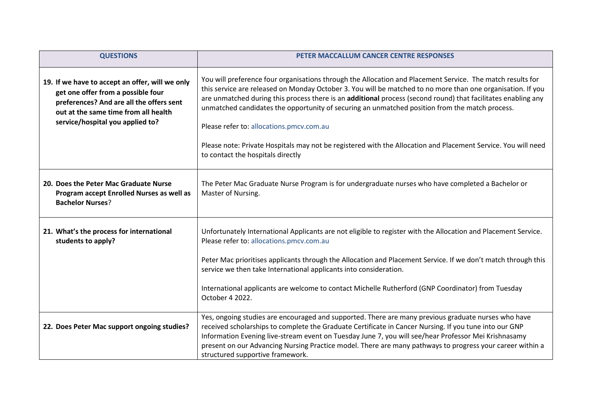| <b>QUESTIONS</b>                                                                                                                                                                                              | PETER MACCALLUM CANCER CENTRE RESPONSES                                                                                                                                                                                                                                                                                                                                                                                                                                                                                                                                                                                                        |
|---------------------------------------------------------------------------------------------------------------------------------------------------------------------------------------------------------------|------------------------------------------------------------------------------------------------------------------------------------------------------------------------------------------------------------------------------------------------------------------------------------------------------------------------------------------------------------------------------------------------------------------------------------------------------------------------------------------------------------------------------------------------------------------------------------------------------------------------------------------------|
| 19. If we have to accept an offer, will we only<br>get one offer from a possible four<br>preferences? And are all the offers sent<br>out at the same time from all health<br>service/hospital you applied to? | You will preference four organisations through the Allocation and Placement Service. The match results for<br>this service are released on Monday October 3. You will be matched to no more than one organisation. If you<br>are unmatched during this process there is an additional process (second round) that facilitates enabling any<br>unmatched candidates the opportunity of securing an unmatched position from the match process.<br>Please refer to: allocations.pmcv.com.au<br>Please note: Private Hospitals may not be registered with the Allocation and Placement Service. You will need<br>to contact the hospitals directly |
| 20. Does the Peter Mac Graduate Nurse<br>Program accept Enrolled Nurses as well as<br><b>Bachelor Nurses?</b>                                                                                                 | The Peter Mac Graduate Nurse Program is for undergraduate nurses who have completed a Bachelor or<br>Master of Nursing.                                                                                                                                                                                                                                                                                                                                                                                                                                                                                                                        |
| 21. What's the process for international<br>students to apply?                                                                                                                                                | Unfortunately International Applicants are not eligible to register with the Allocation and Placement Service.<br>Please refer to: allocations.pmcv.com.au<br>Peter Mac prioritises applicants through the Allocation and Placement Service. If we don't match through this<br>service we then take International applicants into consideration.<br>International applicants are welcome to contact Michelle Rutherford (GNP Coordinator) from Tuesday<br>October 4 2022.                                                                                                                                                                      |
| 22. Does Peter Mac support ongoing studies?                                                                                                                                                                   | Yes, ongoing studies are encouraged and supported. There are many previous graduate nurses who have<br>received scholarships to complete the Graduate Certificate in Cancer Nursing. If you tune into our GNP<br>Information Evening live-stream event on Tuesday June 7, you will see/hear Professor Mei Krishnasamy<br>present on our Advancing Nursing Practice model. There are many pathways to progress your career within a<br>structured supportive framework.                                                                                                                                                                         |